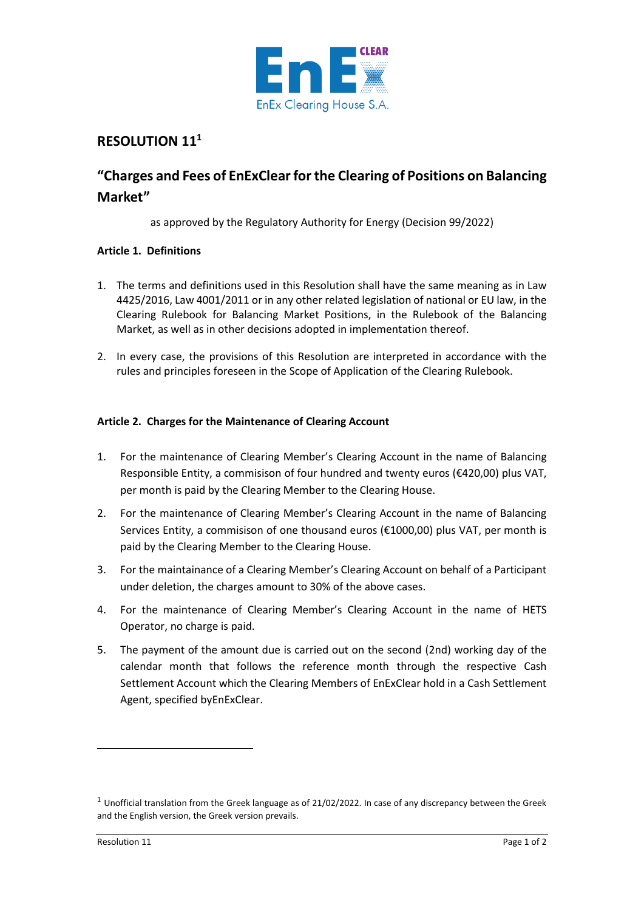

# **RESOLUTION 11<sup>1</sup>**

# **"Charges and Fees of EnExClear for the Clearing of Positions on Balancing Market"**

as approved by the Regulatory Authority for Energy (Decision 99/2022)

## **Article 1. Definitions**

- 1. The terms and definitions used in this Resolution shall have the same meaning as in Law 4425/2016, Law 4001/2011 or in any other related legislation of national or EU law, in the Clearing Rulebook for Balancing Market Positions, in the Rulebook of the Balancing Market, as well as in other decisions adopted in implementation thereof.
- 2. In every case, the provisions of this Resolution are interpreted in accordance with the rules and principles foreseen in the Scope of Application of the Clearing Rulebook.

## **Article 2. Charges for the Maintenance of Clearing Account**

- 1. For the maintenance of Clearing Member's Clearing Account in the name of Balancing Responsible Entity, a commisison of four hundred and twenty euros (€420,00) plus VAT, per month is paid by the Clearing Member to the Clearing House.
- 2. For the maintenance of Clearing Member's Clearing Account in the name of Balancing Services Entity, a commisison of one thousand euros (€1000,00) plus VAT, per month is paid by the Clearing Member to the Clearing House.
- 3. For the maintainance of a Clearing Member's Clearing Account on behalf of a Participant under deletion, the charges amount to 30% of the above cases.
- 4. For the maintenance of Clearing Member's Clearing Account in the name of HETS Operator, no charge is paid.
- 5. The payment of the amount due is carried out on the second (2nd) working day of the calendar month that follows the reference month through the respective Cash Settlement Account which the Clearing Members of EnExClear hold in a Cash Settlement Agent, specified byEnExClear.

 $1$  Unofficial translation from the Greek language as of 21/02/2022. In case of any discrepancy between the Greek and the English version, the Greek version prevails.